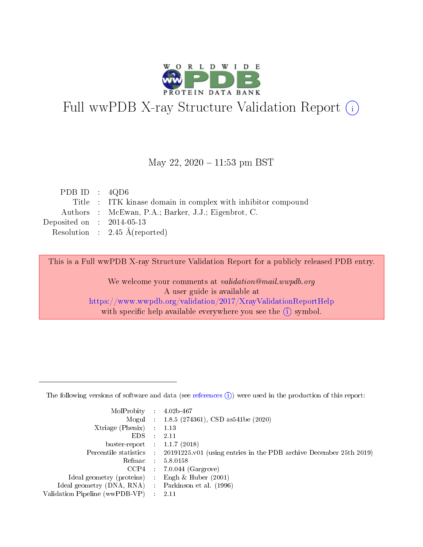

# Full wwPDB X-ray Structure Validation Report (i)

#### May 22,  $2020 - 11:53$  pm BST

| PDB ID : $4QD6$             |                                                              |
|-----------------------------|--------------------------------------------------------------|
|                             | Title : ITK kinase domain in complex with inhibitor compound |
|                             | Authors : McEwan, P.A.; Barker, J.J.; Eigenbrot, C.          |
| Deposited on : $2014-05-13$ |                                                              |
|                             | Resolution : $2.45 \text{ Å}$ (reported)                     |
|                             |                                                              |

This is a Full wwPDB X-ray Structure Validation Report for a publicly released PDB entry.

We welcome your comments at validation@mail.wwpdb.org A user guide is available at <https://www.wwpdb.org/validation/2017/XrayValidationReportHelp> with specific help available everywhere you see the  $(i)$  symbol.

The following versions of software and data (see [references](https://www.wwpdb.org/validation/2017/XrayValidationReportHelp#references)  $(1)$ ) were used in the production of this report:

| MolProbity :                   |               | $4.02b - 467$                                                               |
|--------------------------------|---------------|-----------------------------------------------------------------------------|
|                                |               | Mogul : $1.8.5$ (274361), CSD as 541be (2020)                               |
| $X$ triage (Phenix) :          |               | 1.13                                                                        |
| EDS.                           |               | 2.11                                                                        |
| buster-report : $1.1.7$ (2018) |               |                                                                             |
| Percentile statistics :        |               | $20191225 \text{v}01$ (using entries in the PDB archive December 25th 2019) |
| Refmac :                       |               | 5.8.0158                                                                    |
| $CCP4$ :                       |               | $7.0.044$ (Gargrove)                                                        |
| Ideal geometry (proteins) :    |               | Engh $\&$ Huber (2001)                                                      |
| Ideal geometry (DNA, RNA) :    |               | Parkinson et al. (1996)                                                     |
| Validation Pipeline (wwPDB-VP) | $\mathcal{L}$ | 2.11                                                                        |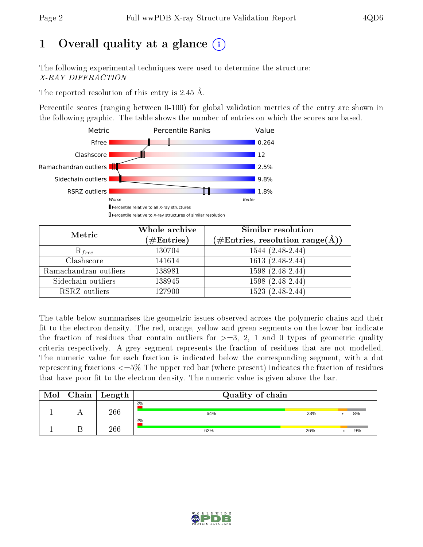# 1 [O](https://www.wwpdb.org/validation/2017/XrayValidationReportHelp#overall_quality)verall quality at a glance  $(i)$

The following experimental techniques were used to determine the structure: X-RAY DIFFRACTION

The reported resolution of this entry is 2.45 Å.

Percentile scores (ranging between 0-100) for global validation metrics of the entry are shown in the following graphic. The table shows the number of entries on which the scores are based.



| Metric                | Whole archive        | Similar resolution                                                     |  |  |
|-----------------------|----------------------|------------------------------------------------------------------------|--|--|
|                       | $(\#\text{Entries})$ | $(\#\text{Entries},\,\text{resolution}\,\,\text{range}(\textup{\AA}))$ |  |  |
| $R_{free}$            | 130704               | $1544(2.48-2.44)$                                                      |  |  |
| Clashscore            | 141614               | $1613(2.48-2.44)$                                                      |  |  |
| Ramachandran outliers | 138981               | $1598(2.48-2.44)$                                                      |  |  |
| Sidechain outliers    | 138945               | $1598(2.48-2.44)$                                                      |  |  |
| RSRZ outliers         | 127900               | $1523(2.48-2.44)$                                                      |  |  |

The table below summarises the geometric issues observed across the polymeric chains and their fit to the electron density. The red, orange, yellow and green segments on the lower bar indicate the fraction of residues that contain outliers for  $>=3, 2, 1$  and 0 types of geometric quality criteria respectively. A grey segment represents the fraction of residues that are not modelled. The numeric value for each fraction is indicated below the corresponding segment, with a dot representing fractions <=5% The upper red bar (where present) indicates the fraction of residues that have poor fit to the electron density. The numeric value is given above the bar.

| Mol | Chain | $\mid$ Length | Quality of chain |     |    |
|-----|-------|---------------|------------------|-----|----|
|     |       | 266           | 2%<br>64%        | 23% | 8% |
|     |       | 266           | 2%<br>62%        | 26% | 9% |

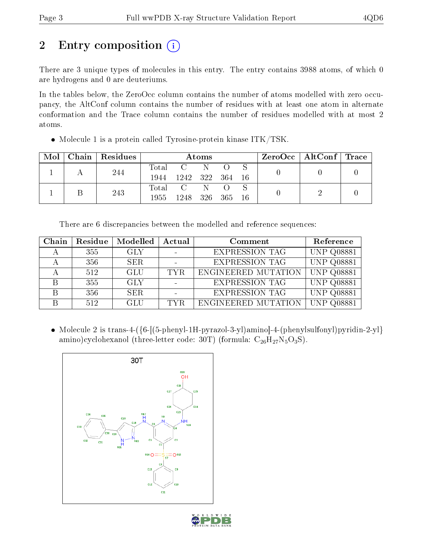# 2 Entry composition  $\left( \cdot \right)$

There are 3 unique types of molecules in this entry. The entry contains 3988 atoms, of which 0 are hydrogens and 0 are deuteriums.

In the tables below, the ZeroOcc column contains the number of atoms modelled with zero occupancy, the AltConf column contains the number of residues with at least one atom in alternate conformation and the Trace column contains the number of residues modelled with at most 2 atoms.

| Mol |  | $\vert$ Chain $\vert$ Residues | Atoms       |                 |     |  |  |  | $\text{ZeroOcc}$   AltConf   Trace |  |
|-----|--|--------------------------------|-------------|-----------------|-----|--|--|--|------------------------------------|--|
|     |  | 244                            |             | Total C N       |     |  |  |  |                                    |  |
|     |  |                                | 1944        | 1242 322 364 16 |     |  |  |  |                                    |  |
|     |  | 243                            | $\rm Total$ | $\mathbf C$     | - N |  |  |  |                                    |  |
|     |  |                                | 1955        | 1248 326 365 16 |     |  |  |  |                                    |  |

• Molecule 1 is a protein called Tyrosine-protein kinase ITK/TSK.

There are 6 discrepancies between the modelled and reference sequences:

| Chain | Residue | Modelled   | Actual<br>Comment |                       | Reference         |
|-------|---------|------------|-------------------|-----------------------|-------------------|
|       | 355     | GLY        |                   | <b>EXPRESSION TAG</b> | <b>UNP Q08881</b> |
|       | 356     | SER.       |                   | <b>EXPRESSION TAG</b> | <b>UNP Q08881</b> |
|       | 512     | GLU        | TYR.              | ENGINEERED MUTATION   | <b>UNP Q08881</b> |
|       | 355     | <b>GLY</b> |                   | <b>EXPRESSION TAG</b> | <b>UNP Q08881</b> |
|       | 356     | SER.       |                   | <b>EXPRESSION TAG</b> | <b>UNP Q08881</b> |
|       | 512     | GLU        | TYR.              | ENGINEERED MUTATION   | <b>UNP Q08881</b> |

• Molecule 2 is trans-4-({6-[(5-phenyl-1H-pyrazol-3-yl)amino]-4-(phenylsulfonyl)pyridin-2-yl} amino)cyclohexanol (three-letter code: 30T) (formula:  $\rm{C_{26}H_{27}N_{5}O_{3}S}$ ).



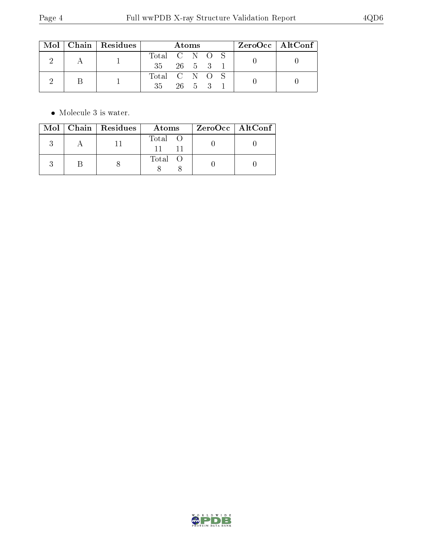|  | $Mol$   Chain   Residues | Atoms                     |        |  |  | $ZeroOcc \   \ AltConf$ |  |  |  |
|--|--------------------------|---------------------------|--------|--|--|-------------------------|--|--|--|
|  |                          | Total C N O S             |        |  |  |                         |  |  |  |
|  |                          | $35 \t 26 \t 5 \t 3 \t 1$ |        |  |  |                         |  |  |  |
|  |                          | Total C N O S             |        |  |  |                         |  |  |  |
|  |                          | 35                        | 26 5 3 |  |  |                         |  |  |  |

 $\bullet\,$  Molecule 3 is water.

|  | Mol   Chain   Residues | Atoms   | ZeroOcc   AltConf |
|--|------------------------|---------|-------------------|
|  |                        | Total O |                   |
|  |                        | Total   |                   |

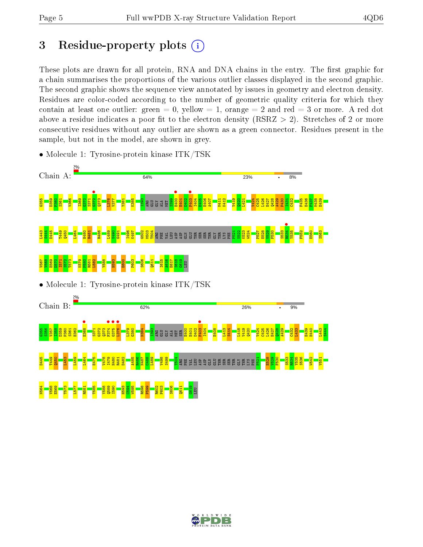# 3 Residue-property plots  $(i)$

These plots are drawn for all protein, RNA and DNA chains in the entry. The first graphic for a chain summarises the proportions of the various outlier classes displayed in the second graphic. The second graphic shows the sequence view annotated by issues in geometry and electron density. Residues are color-coded according to the number of geometric quality criteria for which they contain at least one outlier: green  $= 0$ , yellow  $= 1$ , orange  $= 2$  and red  $= 3$  or more. A red dot above a residue indicates a poor fit to the electron density (RSRZ  $> 2$ ). Stretches of 2 or more consecutive residues without any outlier are shown as a green connector. Residues present in the sample, but not in the model, are shown in grey.



• Molecule 1: Tyrosine-protein kinase ITK/TSK

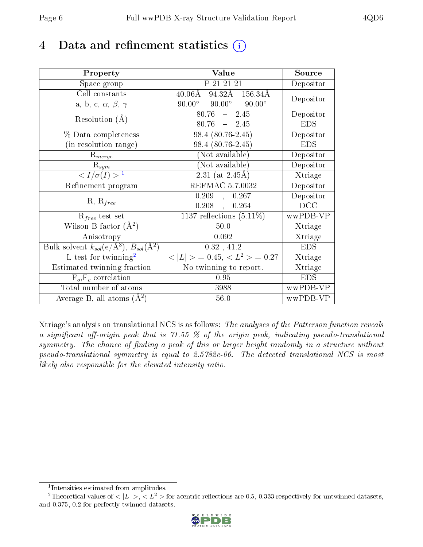## 4 Data and refinement statistics  $(i)$

| Property                                                             | Value                                            | Source                       |
|----------------------------------------------------------------------|--------------------------------------------------|------------------------------|
| Space group                                                          | P 21 21 21                                       | Depositor                    |
| Cell constants                                                       | $40.06\text{\AA}$ 94.32Å 156.34Å                 | Depositor                    |
| a, b, c, $\alpha$ , $\beta$ , $\gamma$                               | $90.00^{\circ}$ $90.00^{\circ}$<br>$90.00^\circ$ |                              |
| Resolution $(A)$                                                     | 80.76<br>$-2.45$                                 | Depositor                    |
|                                                                      | 80.76<br>$-2.45$                                 | <b>EDS</b>                   |
| % Data completeness                                                  | $98.4(80.76-2.45)$                               | Depositor                    |
| (in resolution range)                                                | 98.4 (80.76-2.45)                                | <b>EDS</b>                   |
| $R_{merge}$                                                          | (Not available)                                  | Depositor                    |
| $R_{sym}$                                                            | (Not available)                                  | Depositor                    |
| $\langle I/\sigma(I) \rangle^{-1}$                                   | $2.31$ (at 2.45Å)                                | Xtriage                      |
| Refinement program                                                   | REFMAC 5.7.0032                                  | Depositor                    |
|                                                                      | 0.209<br>, 0.267                                 | Depositor                    |
| $R, R_{free}$                                                        | $0.208$ ,<br>0.264                               | DCC                          |
| $R_{free}$ test set                                                  | 1137 reflections $(5.11\%)$                      | wwPDB-VP                     |
| Wilson B-factor $(A^2)$                                              | 50.0                                             | Xtriage                      |
| Anisotropy                                                           | 0.092                                            | Xtriage                      |
| Bulk solvent $k_{sol}(e/\mathring{A}^3)$ , $B_{sol}(\mathring{A}^2)$ | 0.32, 41.2                                       | <b>EDS</b>                   |
| L-test for twinning <sup>2</sup>                                     | $< L >$ = 0.45, $< L2$ > = 0.27                  | Xtriage                      |
| Estimated twinning fraction                                          | No twinning to report.                           | $\overline{\text{X}}$ triage |
| $\overline{F_o}, \overline{F_c}$ correlation                         | 0.95                                             | <b>EDS</b>                   |
| Total number of atoms                                                | 3988                                             | wwPDB-VP                     |
| Average B, all atoms $(A^2)$                                         | $56.0\,$                                         | wwPDB-VP                     |

Xtriage's analysis on translational NCS is as follows: The analyses of the Patterson function reveals a significant off-origin peak that is 71.55  $\%$  of the origin peak, indicating pseudo-translational symmetry. The chance of finding a peak of this or larger height randomly in a structure without pseudo-translational symmetry is equal to 2.5782e-06. The detected translational NCS is most likely also responsible for the elevated intensity ratio.

<sup>&</sup>lt;sup>2</sup>Theoretical values of  $\langle |L| \rangle$ ,  $\langle L^2 \rangle$  for acentric reflections are 0.5, 0.333 respectively for untwinned datasets, and 0.375, 0.2 for perfectly twinned datasets.



<span id="page-5-1"></span><span id="page-5-0"></span><sup>1</sup> Intensities estimated from amplitudes.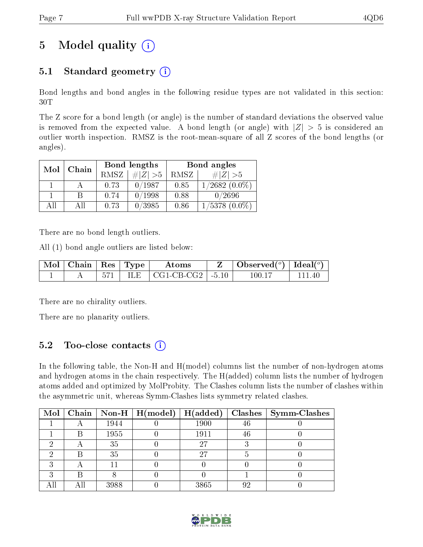# 5 Model quality  $(i)$

### 5.1 Standard geometry  $(i)$

Bond lengths and bond angles in the following residue types are not validated in this section: 30T

The Z score for a bond length (or angle) is the number of standard deviations the observed value is removed from the expected value. A bond length (or angle) with  $|Z| > 5$  is considered an outlier worth inspection. RMSZ is the root-mean-square of all Z scores of the bond lengths (or angles).

| Mol | Chain |      | Bond lengths                 | Bond angles |                    |  |
|-----|-------|------|------------------------------|-------------|--------------------|--|
|     |       | RMSZ | $\vert \# \vert Z \vert > 5$ | RMSZ        | $\# Z  > 5$        |  |
|     |       | 0.73 | 0/1987                       | 0.85        | $1/2682(0.0\%)$    |  |
|     | B     | 0.74 | 0/1998                       | 0.88        | 0/2696             |  |
| AĦ  | ΑH    | 0.73 | 0/3985                       | 0.86        | $1/5378$ $(0.0\%)$ |  |

There are no bond length outliers.

All (1) bond angle outliers are listed below:

| $\mid$ Mol $\mid$ Chain $\mid$ Res $\mid$ Type $\mid$ |  | Atoms                                | Observed( $^{\circ}$ )   Ideal( $^{\circ}$ ) |  |
|-------------------------------------------------------|--|--------------------------------------|----------------------------------------------|--|
|                                                       |  | ILE $\vert$ CG1-CB-CG2 $\vert$ -5.10 | 100.11                                       |  |

There are no chirality outliers.

There are no planarity outliers.

#### 5.2 Too-close contacts  $(i)$

In the following table, the Non-H and H(model) columns list the number of non-hydrogen atoms and hydrogen atoms in the chain respectively. The H(added) column lists the number of hydrogen atoms added and optimized by MolProbity. The Clashes column lists the number of clashes within the asymmetric unit, whereas Symm-Clashes lists symmetry related clashes.

| $\text{Mol}$ |   |      | $\vert$ Chain $\vert$ Non-H $\vert$ H(model) | H(added) | <b>Clashes</b> | $\sim$ Symm-Clashes |
|--------------|---|------|----------------------------------------------|----------|----------------|---------------------|
|              |   | 1944 |                                              | 1900     | 46             |                     |
|              |   | 1955 |                                              | 1911     | 46             |                     |
|              |   | 35   |                                              | 27       |                |                     |
|              |   | 35   |                                              | 27       |                |                     |
|              |   |      |                                              |          |                |                     |
|              | R |      |                                              |          |                |                     |
|              |   | 3988 |                                              | 3865     | 92             |                     |

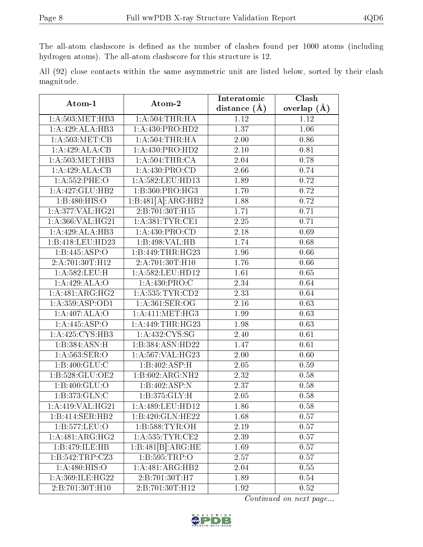The all-atom clashscore is defined as the number of clashes found per 1000 atoms (including hydrogen atoms). The all-atom clashscore for this structure is 12.

All (92) close contacts within the same asymmetric unit are listed below, sorted by their clash magnitude.

| Atom-1                          | Atom-2               | Interatomic       | Clash         |  |
|---------------------------------|----------------------|-------------------|---------------|--|
|                                 |                      | distance $(\AA)$  | overlap $(A)$ |  |
| 1: A:503:MET:HB3                | 1: A:504:THR:HA      | 1.12              | 1.12          |  |
| 1:A:429:ALA:HB3                 | 1:A:430:PRO:HD2      | 1.37              | 1.06          |  |
| 1: A:503:MET:CB                 | 1: A: 504:THR:HA     | 2.00              | 0.86          |  |
| 1:A:429:ALA:CB                  | 1:A:430:PRO:HD2      | 2.10              | 0.81          |  |
| 1: A:503:MET:HB3                | 1: A:504:THR:CA      | 2.04              | 0.78          |  |
| 1:A:429:ALA:CB                  | 1:A:430:PRO:CD       | 2.66              | 0.74          |  |
| $1: A: 552:$ PHE:O              | 1:A:582:LEU:HD13     | 1.89              | 0.72          |  |
| 1:A:427:GLU:HB2                 | 1:B:360:PRO:HG3      | 1.70              | 0.72          |  |
| 1:B:480:HIS:O                   | 1:B:481[A]:ARG:HB2   | 1.88              | 0.72          |  |
| 1:A:377:VAL:HG21                | 2:B:701:30T:H15      | 1.71              | 0.71          |  |
| 1: A: 366: VAL: HG21            | 1: A:381:TYR:CE1     | 2.25              | 0.71          |  |
| 1:A:429:ALA:HB3                 | 1:A:430:PRO:CD       | 2.18              | 0.69          |  |
| 1:B:418:LEU:HD23                | 1:B:498:VAL:HB       | 1.74              | 0.68          |  |
| 1:B:445:ASP:O                   | 1:B:449:THR:HG23     | 1.96              | 0.66          |  |
| $2:A:701:\overline{30T:H12}$    | 2:A:701:30T:H10      | 1.76              | 0.66          |  |
| 1:A:582:LEU:H                   | $1: A:582:$ LEU:HD12 | 1.61              | 0.65          |  |
| 1:A:429:ALA:O                   | 1:A:430:PRO:C        | 2.34              | 0.64          |  |
| 1:A:481:ARG:HG2                 | 1: A: 535: TYR: CD2  | 2.33              | 0.64          |  |
| 1: A: 359: ASP: OD1             | 1: A:361: SER:OG     | 2.16              | 0.63          |  |
| 1:A:407:ALA:O                   | 1: A: 411: MET:HG3   | 1.99              | 0.63          |  |
| 1:A:445:ASP:O                   | 1: A:449:THR:HG23    | 1.98              | 0.63          |  |
| 1: A:425: CYS:HB3               | 1: A: 432: CYS: SG   | $\overline{2.40}$ | 0.61          |  |
| 1:B:384:ASN:H                   | 1:B:384:ASN:HD22     | 1.47              | 0.61          |  |
| 1: A: 563: SER: O               | 1:A:567:VAL:HG23     | 2.00              | 0.60          |  |
| 1: B:400: GLU:C                 | 1:B:402:ASP:H        | 2.05              | 0.59          |  |
| 1:B:528:GLU:OE2                 | 1:B:602:ARG:NH2      | $\overline{2.32}$ | 0.58          |  |
| 1:B:400:GLU:O                   | 1:B:402:ASP:N        | 2.37              | 0.58          |  |
| 1:B:373:GLN:C                   | 1:B:375:GLY:H        | 2.05              | 0.58          |  |
| $1:$ A:419:VAL:HG21             | 1:A:489:LEU:HD12     | 1.86              | 0.58          |  |
| 1:B:414:SER:HB2                 | 1:B:420:GLN:HE22     | 1.68              | 0.57          |  |
| 1:B:577:LEU:O                   | 1: B: 588: TYR: OH   | 2.19              | 0.57          |  |
| $1:A:481:AR\overline{G:HG2}$    | 1: A: 535: TYR: CE2  | 2.39              | 0.57          |  |
| 1:B:479:ILE:HB                  | 1:B:481[B]:ARG:HE    | 1.69              | 0.57          |  |
| $1: B:542: \overline{TRP: CZ3}$ | 1:B:595:TRP:O        | 2.57              | 0.57          |  |
| 1: A:480: HIS:O                 | 1:A:481:ARG:HB2      | 2.04              | 0.55          |  |
| 1:A:369:ILE:HG22                | 2:B:701:30T:H7       | 1.89              | 0.54          |  |
| 2:B:701:30T:H10                 | 2:B:701:30T:H12      | 1.92              | 0.52          |  |

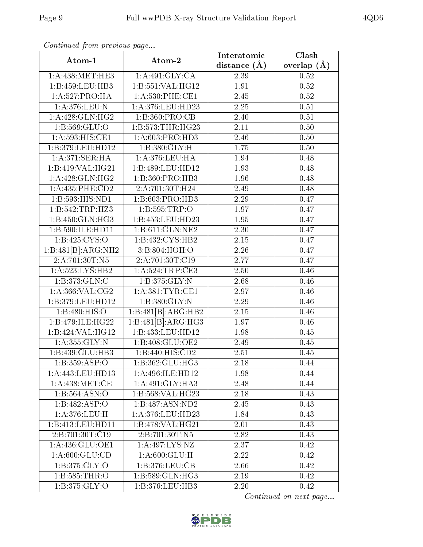| Atom-1             |                                        | Interatomic       | Clash           |
|--------------------|----------------------------------------|-------------------|-----------------|
|                    | Atom-2                                 | distance $(\AA)$  | overlap $(\AA)$ |
| 1: A:438:MET:HE3   | 1:A:491:GLY:CA                         | 2.39              | 0.52            |
| 1:B:459:LEU:HB3    | 1:B:551:VAL:HG12                       | 1.91              | 0.52            |
| 1:A:527:PRO:HA     | $1: A:530:$ PHE:CE1                    | 2.45              | 0.52            |
| 1:A:376:LEU:N      | 1:A:376:LEU:HD23                       | 2.25              | $0.51\,$        |
| 1:A:428:GLN:HG2    | 1:B:360:PRO:CB                         | 2.40              | 0.51            |
| 1:B:569:GLU:O      | 1:B:573:THR:HG23                       | 2.11              | 0.50            |
| 1:A:593:HIS:CE1    | 1: A:603: PRO:HD3                      | 2.46              | 0.50            |
| 1:B:379:LEU:HD12   | 1:B:380:GLY:H                          | 1.75              | 0.50            |
| 1: A:371: SER:HA   | 1:A:376:LEU:HA                         | 1.94              | 0.48            |
| 1:B:419:VAL:HG21   | 1:B:489:LEU:HD12                       | 1.93              | 0.48            |
| 1:A:428:GLN:HG2    | 1:B:360:PRO:HB3                        | 1.96              | 0.48            |
| 1:A:435:PHE:CD2    | 2:A:701:30T:H24                        | 2.49              | 0.48            |
| 1:B:593:HIS:ND1    | 1:B:603:PRO:HD3                        | 2.29              | 0.47            |
| 1:B:542:TRP:HZ3    | 1:B:595:TRP:O                          | 1.97              | 0.47            |
| 1:B:450:GLN:HG3    | 1:B:453:LEU:HD23                       | 1.95              | 0.47            |
| 1:B:590:ILE:HD11   | 1:B:611:GLN:NE2                        | $\overline{2.30}$ | 0.47            |
| 1:B:425:CYS:O      | 1:B:432:CYS:HB2                        | 2.15              | 0.47            |
| 1:B:481[B]:ARG:NH2 | 3: B:804: HOH:O                        | 2.26              | 0.47            |
| 2:A:701:30T:N5     | 2:A:701:30T:C19                        | 2.77              | 0.47            |
| 1:A:523:LYS:HB2    | $1:$ A:524:TRP:CE3                     | 2.50              | 0.46            |
| 1:B:373:GLN:C      | 1:B:375:GLY:N                          | 2.68              | 0.46            |
| 1: A:366: VAL: CG2 | 1: A: 381: TYR: CE1                    | 2.97              | 0.46            |
| 1:B:379:LEU:HD12   | 1:B:380:GLY:N                          | 2.29              | 0.46            |
| 1:B:480:HIS:O      | 1:B:481[B]:ARG:HB2                     | 2.15              | 0.46            |
| 1:B:479:ILE:HG22   | $1:B:481[B]:\overline{\text{ARG:HG3}}$ | 1.97              | 0.46            |
| 1:B:424:VAL:HG12   | 1:B:433:LEU:HD12                       | 1.98              | 0.45            |
| 1:A:355:GLY:N      | 1:B:408:GLU:OE2                        | 2.49              | 0.45            |
| 1:B:439:GLU:HB3    | 1:B:440:HIS:CD2                        | 2.51              | 0.45            |
| 1:B:359:ASP:O      | 1:B:362:GLU:HG3                        | 2.18              | 0.44            |
| 1:A:443:LEU:HD13   | 1:A:496:ILE:HD12                       | 1.98              | 0.44            |
| 1: A:438: MET:CE   | 1: A:491: GLY:HA3                      | 2.48              | 0.44            |
| 1:B:564:ASN:O      | 1:B:568:VAL:HG23                       | 2.18              | 0.43            |
| 1:B:482:ASP:O      | 1:B:487:ASN:ND2                        | 2.45              | 0.43            |
| 1:A:376:LEU:H      | 1:A:376:LEU:HD23                       | 1.84              | 0.43            |
| 1:B:413:LEU:HD11   | 1:B:478:VAL:HG21                       | 2.01              | 0.43            |
| 2:B:701:30T:C19    | 2:B:701:30T:N5                         | 2.82              | 0.43            |
| 1:A:436:GLU:OE1    | 1:A:497:LYS:NZ                         | 2.37              | 0.42            |
| 1: A:600: GLU:CD   | 1: A:600: GLU: H                       | 2.22              | 0.42            |
| 1: B: 375: GLY: O  | 1:B:376:LEU:CB                         | 2.66              | 0.42            |
| 1: B: 585: THR:O   | 1: B: 589: GLN: HG3                    | 2.19              | 0.42            |
| 1: B: 375: GLY:O   | 1:B:376:LEU:HB3                        | 2.20              | 0.42            |

Continued from previous page...

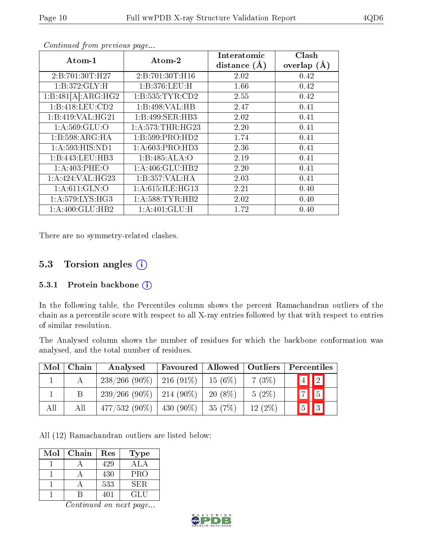| Atom-1             | Atom-2               | Interatomic    | Clash         |
|--------------------|----------------------|----------------|---------------|
|                    |                      | distance $(A)$ | overlap $(A)$ |
| 2:B:701:30T:H27    | 2: B: 701:30T:H16    | 2.02           | 0.42          |
| 1:B:372:GLY:H      | 1:B:376:LEU:H        | 1.66           | 0.42          |
| 1:B:481[A]:ARG:HG2 | 1: B: 535: TYR: CD2  | 2.55           | 0.42          |
| 1:B:418:LEU:CD2    | 1:B:498:VAL:HB       | 2.47           | 0.41          |
| 1:B:419:VAL:HG21   | 1:B:499:SER:HB3      | 2.02           | 0.41          |
| 1: A:569: GLU:O    | 1: A: 573: THR: HG23 | 2.20           | 0.41          |
| 1:B:598:ARG:HA     | 1:B:599:PRO:HD2      | 1.74           | 0.41          |
| 1:A:593:HIS:ND1    | 1:A:603:PRO:HD3      | 2.36           | 0.41          |
| 1:B:443:LEU:HB3    | 1:B:485:ALA:O        | 2.19           | 0.41          |
| 1: A:403: PHE:O    | 1:A:406:GLU:HB2      | 2.20           | 0.41          |
| 1: A:424: VAL:HG23 | 1:B:357:VAL:HA       | 2.03           | 0.41          |
| 1: A:611: GLN:O    | 1: A:615: ILE: HG13  | 2.21           | 0.40          |
| 1: A:579: LYS: HG3 | 1: A:588:TYR:HB2     | 2.02           | 0.40          |
| 1: A:400: GLU:HB2  | 1:A:401:GLU:H        | 1.72           | 0.40          |

Continued from previous page...

There are no symmetry-related clashes.

#### 5.3 Torsion angles (i)

#### 5.3.1 Protein backbone  $(i)$

In the following table, the Percentiles column shows the percent Ramachandran outliers of the chain as a percentile score with respect to all X-ray entries followed by that with respect to entries of similar resolution.

The Analysed column shows the number of residues for which the backbone conformation was analysed, and the total number of residues.

| Mol | Chain | Analysed                      | Favoured | Allowed   Outliers |           | Percentiles                   |
|-----|-------|-------------------------------|----------|--------------------|-----------|-------------------------------|
|     |       | $238/266$ (90\%)   216 (91\%) |          | $15(6\%)$          | 7(3%)     | $\sqrt{4}$ 2                  |
|     |       | $239/266$ (90\%)   214 (90\%) |          | $20(8\%)$          | $5(2\%)$  | $\boxed{7}$                   |
| All | All   | $477/532(90\%)$   430 (90\%)  |          | 35(7%)             | $12(2\%)$ | $\vert\vert$ 3<br>$\boxed{5}$ |

All (12) Ramachandran outliers are listed below:

| Mol | Chain | Res | Type |
|-----|-------|-----|------|
|     |       | 429 | ALA  |
|     |       | 430 | PRO  |
|     |       | 533 | SER. |
|     |       | 401 | GLU  |

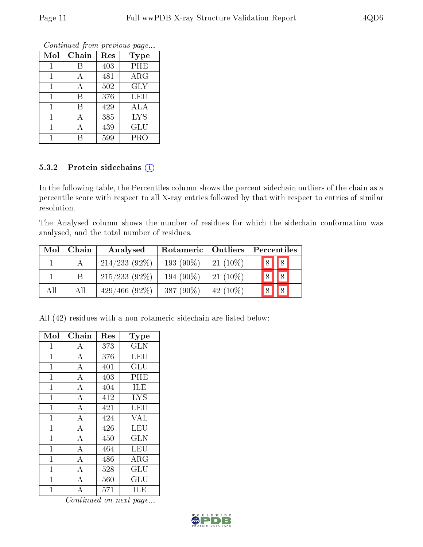|              | оонынаса јют ртоново раде |     |             |  |  |  |  |  |
|--------------|---------------------------|-----|-------------|--|--|--|--|--|
| Mol          | Chain                     | Res | <b>Type</b> |  |  |  |  |  |
| 1            | B                         | 403 | PHE         |  |  |  |  |  |
| 1            | А                         | 481 | ARG         |  |  |  |  |  |
| $\mathbf{1}$ | А                         | 502 | <b>GLY</b>  |  |  |  |  |  |
| 1            | В                         | 376 | <b>LEU</b>  |  |  |  |  |  |
| 1            | В                         | 429 | ALA         |  |  |  |  |  |
| 1            | А                         | 385 | <b>LYS</b>  |  |  |  |  |  |
| 1            | А                         | 439 | <b>GLU</b>  |  |  |  |  |  |
| 1            |                           | 599 | PRO         |  |  |  |  |  |

Continued from previous page.

#### 5.3.2 Protein sidechains (i)

In the following table, the Percentiles column shows the percent sidechain outliers of the chain as a percentile score with respect to all X-ray entries followed by that with respect to entries of similar resolution.

The Analysed column shows the number of residues for which the sidechain conformation was analysed, and the total number of residues.

| Mol | Chain | Analysed        | Rotameric   Outliers |             | Percentiles |  |            |  |
|-----|-------|-----------------|----------------------|-------------|-------------|--|------------|--|
|     |       | $214/233(92\%)$ | 193 $(90\%)$         | $21(10\%)$  | 8           |  | $\sqrt{8}$ |  |
|     |       | $215/233(92\%)$ | 194 (90\%)           | $21(10\%)$  |             |  |            |  |
| All | All   | $429/466(92\%)$ | 387 $(90\%)$         | 42 $(10\%)$ |             |  |            |  |

All (42) residues with a non-rotameric sidechain are listed below:

| Mol          | ${\rm Chain}$      | Res | $_{\rm Type}$        |
|--------------|--------------------|-----|----------------------|
| 1            | А                  | 373 | <b>GLN</b>           |
| $\mathbf{1}$ | $\bf{A}$           | 376 | LEU                  |
| $\mathbf{1}$ | $\overline{\rm A}$ | 401 | GLU                  |
| 1            | $\boldsymbol{A}$   | 403 | PHE                  |
| $\mathbf{1}$ | $\bf{A}$           | 404 | ILE                  |
| $\mathbf{1}$ | $\overline{\rm A}$ | 412 | ĪYS                  |
| $\mathbf{1}$ | $\boldsymbol{A}$   | 421 | LEU                  |
| $\mathbf{1}$ | $\overline{\rm A}$ | 424 | <b>VAL</b>           |
| $\mathbf{1}$ | $\boldsymbol{A}$   | 426 | LEU                  |
| $\mathbf{1}$ | $\boldsymbol{A}$   | 450 | GLN                  |
| $\mathbf{1}$ | $\boldsymbol{A}$   | 464 | LEU                  |
| $\mathbf 1$  | $\bf{A}$           | 486 | $\rm{ARG}$           |
| 1            | $\overline{\rm A}$ | 528 | $\operatorname{GLU}$ |
| $\mathbf{1}$ | $\boldsymbol{A}$   | 560 | $\operatorname{GLU}$ |
| 1            | A                  | 571 | ILE                  |

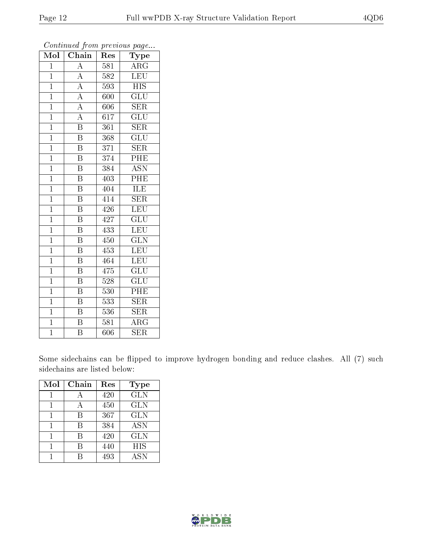| Mol            | $\overline{\text{Chain}}$ | Res              | Type                         |
|----------------|---------------------------|------------------|------------------------------|
| $\overline{1}$ | $\overline{\rm A}$        | 581              | $\rm{ARG}$                   |
| $\mathbf{1}$   | $\overline{A}$            | 582              | <b>LEU</b>                   |
| $\overline{1}$ | $\overline{A}$            | 593              | <b>HIS</b>                   |
| $\overline{1}$ | $\overline{A}$            | 600              | GLU                          |
| $\overline{1}$ | $\overline{A}$            | 606              | $\overline{\text{SER}}$      |
| $\overline{1}$ | $\overline{\rm A}$        | 617              | $\overline{{\rm GL}}{\rm U}$ |
| $\overline{1}$ | $\overline{\mathrm{B}}$   | 361              | <b>SER</b>                   |
| $\mathbf{1}$   | $\overline{\mathrm{B}}$   | 368              | $\overline{\text{GLU}}$      |
| $\overline{1}$ | $\overline{\mathrm{B}}$   | 371              | <b>SER</b>                   |
| $\overline{1}$ | $\overline{\mathrm{B}}$   | 374              | $\overline{\rm{PHE}}$        |
| $\mathbf{1}$   | $\overline{\mathrm{B}}$   | 384              | <b>ASN</b>                   |
| $\overline{1}$ | $\overline{\mathrm{B}}$   | 403              | $\overline{\text{PHE}}$      |
| $\overline{1}$ | $\overline{\mathbf{B}}$   | 404              | ILE                          |
| $\mathbf{1}$   | $\overline{\mathrm{B}}$   | 414              | <b>SER</b>                   |
| $\overline{1}$ | $\overline{\mathrm{B}}$   | 426              | $\overline{\text{LEU}}$      |
| $\mathbf{1}$   | $\, {\bf B}$              | 427              | GLU                          |
| $\mathbf{1}$   | $\overline{\mathrm{B}}$   | 433              | $\overline{\text{LEU}}$      |
| $\overline{1}$ | $\overline{\mathrm{B}}$   | 450              | $\overline{\text{GLN}}$      |
| $\overline{1}$ | $\overline{\mathrm{B}}$   | 453              | $\overline{\text{LEU}}$      |
| $\overline{1}$ | $\overline{\mathrm{B}}$   | 464              | LEU                          |
| $\overline{1}$ | $\overline{\mathrm{B}}$   | 475              | $\overline{\text{GLU}}$      |
| $\overline{1}$ | $\overline{\mathrm{B}}$   | $\overline{528}$ | $\overline{{\rm GLU}}$       |
| $\mathbf{1}$   | $\overline{\mathrm{B}}$   | 530              | PHE                          |
| $\overline{1}$ | $\overline{\mathrm{B}}$   | $\overline{533}$ | $\overline{\text{SER}}$      |
| $\overline{1}$ | $\overline{\mathrm{B}}$   | 536              | <b>SER</b>                   |
| $\overline{1}$ | $\overline{\mathrm{B}}$   | 581              | $\overline{\rm{ARG}}$        |
| $\overline{1}$ | $\overline{\mathrm{B}}$   | 606              | $\overline{\text{SER}}$      |

Continued from previous page...

Some sidechains can be flipped to improve hydrogen bonding and reduce clashes. All (7) such sidechains are listed below:

| Mol | Chain | Res | <b>Type</b> |
|-----|-------|-----|-------------|
|     | А     | 420 | <b>GLN</b>  |
|     | А     | 450 | <b>GLN</b>  |
|     | В     | 367 | <b>GLN</b>  |
|     | R     | 384 | ASN         |
|     | R     | 420 | <b>GLN</b>  |
|     | В     | 440 | <b>HIS</b>  |
|     |       | 493 | ASN         |

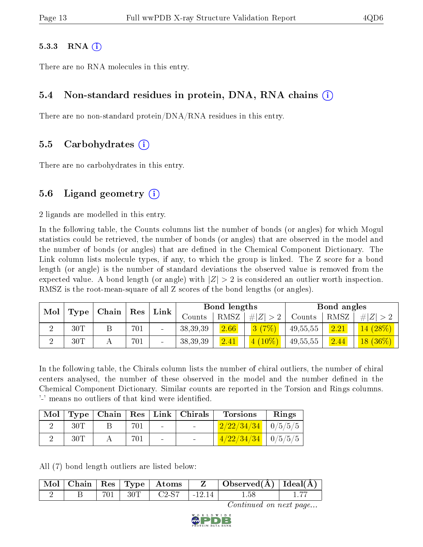#### $5.3.3$  RNA  $(i)$

There are no RNA molecules in this entry.

#### 5.4 Non-standard residues in protein, DNA, RNA chains (i)

There are no non-standard protein/DNA/RNA residues in this entry.

#### 5.5 Carbohydrates (i)

There are no carbohydrates in this entry.

#### 5.6 Ligand geometry  $(i)$

2 ligands are modelled in this entry.

In the following table, the Counts columns list the number of bonds (or angles) for which Mogul statistics could be retrieved, the number of bonds (or angles) that are observed in the model and the number of bonds (or angles) that are defined in the Chemical Component Dictionary. The Link column lists molecule types, if any, to which the group is linked. The Z score for a bond length (or angle) is the number of standard deviations the observed value is removed from the expected value. A bond length (or angle) with  $|Z| > 2$  is considered an outlier worth inspection. RMSZ is the root-mean-square of all Z scores of the bond lengths (or angles).

| Mol |                   |                                |     | ${\rm Link}$             |            | Bond lengths |             |          | Bond angles |                                      |
|-----|-------------------|--------------------------------|-----|--------------------------|------------|--------------|-------------|----------|-------------|--------------------------------------|
|     | Type <sub> </sub> | $\mid$ Chain $\mid$ Res $\mid$ |     |                          | Counts     | <b>RMSZ</b>  | # $ Z  > 2$ | Counts   | RMSZ        | E                                    |
|     | 30T               |                                | 701 | $\overline{\phantom{0}}$ | 38, 39, 39 | 2.66         | 3(7%)       | 49,55,55 | 2.21        | $14(28\%)$                           |
|     | 30T               |                                | 701 | $\overline{\phantom{0}}$ | 38,39,39   | 2.41         | $4(10\%)$   | 49,55,55 | 2.44        | $\left 18\,\left(36\%\right)\right $ |

In the following table, the Chirals column lists the number of chiral outliers, the number of chiral centers analysed, the number of these observed in the model and the number defined in the Chemical Component Dictionary. Similar counts are reported in the Torsion and Rings columns. '-' means no outliers of that kind were identified.

| Mol |     |     |        | Type   Chain   Res   Link   Chirals | <b>Torsions</b>                | Rings |
|-----|-----|-----|--------|-------------------------------------|--------------------------------|-------|
|     |     |     | $\sim$ | <b>Contract Contract</b>            | $\frac{2}{22/34/34}$   0/5/5/5 |       |
|     | 30T | 701 | $\sim$ | $\sim$                              | $1/22/34/34$   0/5/5/5         |       |

All (7) bond length outliers are listed below:

|  |  |                     |           | $\mid$ Mol $\mid$ Chain $\mid$ Res $\mid$ Type $\mid$ Atoms $\mid$ Z $\mid$ Observed(A) $\mid$ Ideal(A) |  |
|--|--|---------------------|-----------|---------------------------------------------------------------------------------------------------------|--|
|  |  | $701$   30T   C2-S7 | 1 - 12 14 | 1.58                                                                                                    |  |

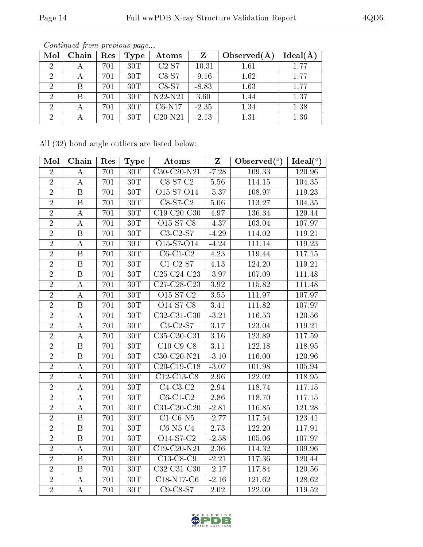| Mol | Chain | Res | Type | <b>Atoms</b> |          | Observed $(A$ | Ideal(A) |
|-----|-------|-----|------|--------------|----------|---------------|----------|
| 2   |       | 701 | 30T  | $C2-S7$      | $-10.31$ | 1.61          | 1.77     |
| 2   |       | 701 | 30T  | $C8-S7$      | $-9.16$  | 1.62          | 1.77     |
| 9   | В     | 701 | 30T  | $C8-S7$      | $-8.83$  | 1.63          | 1.77     |
| 2   | B     | 701 | 30T  | $N22-N21$    | 3.60     | 1.44          | 1.37     |
|     |       | 701 | 30T  | $C6-N17$     | $-2.35$  | 1.34          | 1.38     |
|     |       | 701 | 30T  | $C20-N21$    | $-2.13$  | 1.31          | 1.36     |

Continued from previous page...

All (32) bond angle outliers are listed below:

| Mol            | Chain                   | Res | Type              | Atoms                        | $\overline{\mathbf{Z}}$ | Observed $(°)$ | Ideal( $^o$ ) |
|----------------|-------------------------|-----|-------------------|------------------------------|-------------------------|----------------|---------------|
| $\overline{2}$ | A                       | 701 | 30T               | C30-C20-N21                  | $-7.28$                 | 109.33         | 120.96        |
| $\overline{2}$ | $\boldsymbol{A}$        | 701 | $30\mathrm{T}$    | $C8-S7-C2$                   | 5.56                    | 114.15         | 104.35        |
| $\overline{2}$ | $\overline{B}$          | 701 | 30T               | O15-S7-O14                   | $-5.37$                 | 108.97         | 119.23        |
| $\overline{2}$ | $\overline{B}$          | 701 | 30T               | $C8-S7-C2$                   | 5.06                    | 113.27         | 104.35        |
| $\overline{2}$ | $\overline{\rm A}$      | 701 | 30T               | $C19-C20-C30$                | 4.97                    | 136.34         | 129.44        |
| $\sqrt{2}$     | $\boldsymbol{A}$        | 701 | $\overline{3}0$ T | O15-S7-C8                    | $-4.37$                 | 103.04         | 107.97        |
| $\overline{2}$ | $\overline{\mathrm{B}}$ | 701 | 30T               | $\overline{\text{C3-C2-S7}}$ | $-4.29$                 | 114.02         | 119.21        |
| $\overline{2}$ | A                       | 701 | 30T               | O15-S7-O14                   | $-4.24$                 | 111.14         | 119.23        |
| $\overline{2}$ | $\overline{B}$          | 701 | 30T               | $C6-C1-C2$                   | 4.23                    | 119.44         | 117.15        |
| $\overline{2}$ | $\boldsymbol{B}$        | 701 | 30T               | $\overline{C1-C2-S7}$        | 4.13                    | 124.20         | 119.21        |
| $\overline{2}$ | $\, {\bf B}$            | 701 | 30T               | C25-C24-C23                  | $-3.97$                 | 107.09         | 111.48        |
| $\overline{2}$ | $\boldsymbol{A}$        | 701 | $\overline{30T}$  | $C27-C28-C23$                | $3.\overline{92}$       | 115.82         | 111.48        |
| $\overline{2}$ | $\overline{A}$          | 701 | 30T               | O15-S7-C2                    | 3.55                    | 111.97         | 107.97        |
| $\overline{2}$ | $\overline{B}$          | 701 | $30\mathrm{T}$    | O14-S7-C8                    | 3.41                    | 111.82         | 107.97        |
| $\overline{2}$ | $\boldsymbol{A}$        | 701 | 30T               | C32-C31-C30                  | $-3.21$                 | 116.53         | 120.56        |
| $\overline{2}$ | $\boldsymbol{A}$        | 701 | 30T               | $C3-C2-S7$                   | 3.17                    | 123.04         | 119.21        |
| $\overline{2}$ | $\overline{\rm A}$      | 701 | 30T               | $C35-C30-C31$                | 3.16                    | 123.89         | 117.59        |
| $\overline{2}$ | $\boldsymbol{B}$        | 701 | $30\mathrm{T}$    | $C10$ -C9-C8                 | 3.11                    | 122.18         | 118.95        |
| $\overline{2}$ | $\overline{\mathrm{B}}$ | 701 | 30T               | $C30-C20-N21$                | $-3.10$                 | 116.00         | 120.96        |
| $\overline{2}$ | $\bf{A}$                | 701 | 30T               | C20-C19-C18                  | $-3.07$                 | 101.98         | 105.94        |
| $\overline{2}$ | $\boldsymbol{A}$        | 701 | 30T               | C12-C13-C8                   | 2.96                    | 122.02         | 118.95        |
| $\overline{2}$ | $\bf{A}$                | 701 | 30T               | $C4-C3-C2$                   | 2.94                    | 118.74         | 117.15        |
| $\overline{2}$ | $\boldsymbol{A}$        | 701 | 30T               | $C6-C1-C2$                   | 2.86                    | 118.70         | 117.15        |
| $\overline{2}$ | А                       | 701 | 30T               | $C31-C30-C20$                | $-2.81$                 | 116.85         | 121.28        |
| $\overline{2}$ | $\overline{B}$          | 701 | 30T               | $C1-C6-N5$                   | $-2.77$                 | 117.54         | 123.41        |
| $\overline{2}$ | $\mathbf B$             | 701 | $30\mathrm{T}$    | $C6-N5-C4$                   | 2.73                    | 122.20         | 117.91        |
| $\overline{2}$ | $\overline{B}$          | 701 | $30\mathrm{T}$    | O14-S7-C2                    | $-2.58$                 | 105.06         | 107.97        |
| $\overline{2}$ | $\boldsymbol{A}$        | 701 | 30T               | C19-C20-N21                  | 2.36                    | 114.32         | 109.96        |
| $\overline{2}$ | $\overline{\mathrm{B}}$ | 701 | 30T               | $C13-C8-C9$                  | $-2.21$                 | 117.36         | 120.44        |
| $\overline{2}$ | $\overline{B}$          | 701 | $30\mathrm{T}$    | C32-C31-C30                  | $-2.17$                 | 117.84         | 120.56        |
| $\overline{2}$ | A                       | 701 | 30T               | $C18-N17-C6$                 | $-2.16$                 | 121.62         | 128.62        |
| $\overline{2}$ | $\overline{A}$          | 701 | 30T               | $C9-C8-S7$                   | 2.02                    | 122.09         | 119.52        |

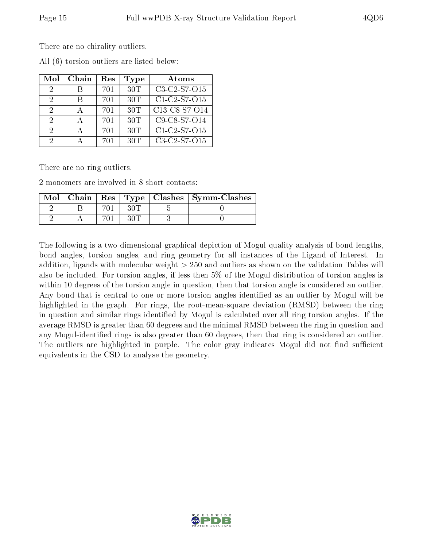There are no chirality outliers.

| Mol                         | Chain | Res | Type | Atoms          |
|-----------------------------|-------|-----|------|----------------|
| $\mathcal{D}_{\mathcal{L}}$ |       | 701 | 30T  | C3-C2-S7-O15   |
| $\mathcal{D}$               | R     | 701 | 30T  | $C1-C2-S7-015$ |
| 2                           |       | 701 | 30T  | C13-C8-S7-O14  |
| $\mathcal{D}$               |       | 701 | 30T  | C9-C8-S7-O14   |
| 2                           |       | 701 | 30T  | C1-C2-S7-O15   |
| 2                           |       | 701 | 30T  | C3-C2-S7-O15   |

All (6) torsion outliers are listed below:

There are no ring outliers.

2 monomers are involved in 8 short contacts:

| Mol |  |  | Chain   Res   Type   Clashes   Symm-Clashes |
|-----|--|--|---------------------------------------------|
|     |  |  |                                             |
|     |  |  |                                             |

The following is a two-dimensional graphical depiction of Mogul quality analysis of bond lengths, bond angles, torsion angles, and ring geometry for all instances of the Ligand of Interest. In addition, ligands with molecular weight > 250 and outliers as shown on the validation Tables will also be included. For torsion angles, if less then 5% of the Mogul distribution of torsion angles is within 10 degrees of the torsion angle in question, then that torsion angle is considered an outlier. Any bond that is central to one or more torsion angles identified as an outlier by Mogul will be highlighted in the graph. For rings, the root-mean-square deviation (RMSD) between the ring in question and similar rings identified by Mogul is calculated over all ring torsion angles. If the average RMSD is greater than 60 degrees and the minimal RMSD between the ring in question and any Mogul-identified rings is also greater than 60 degrees, then that ring is considered an outlier. The outliers are highlighted in purple. The color gray indicates Mogul did not find sufficient equivalents in the CSD to analyse the geometry.

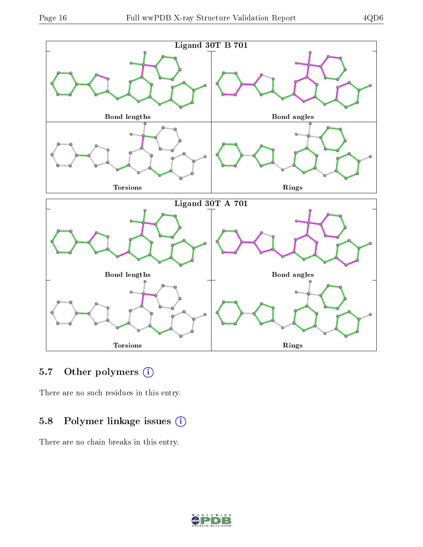

### 5.7 [O](https://www.wwpdb.org/validation/2017/XrayValidationReportHelp#nonstandard_residues_and_ligands)ther polymers (i)

There are no such residues in this entry.

### 5.8 Polymer linkage issues (i)

There are no chain breaks in this entry.

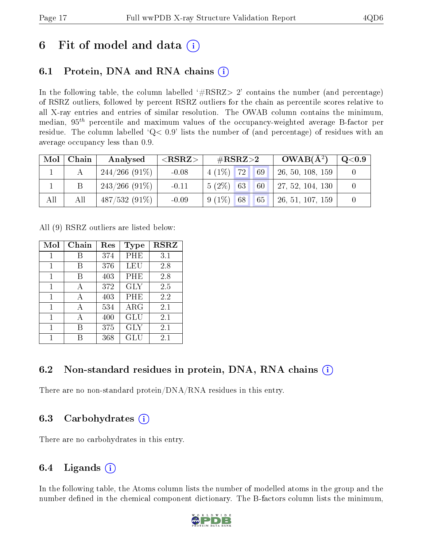## 6 Fit of model and data  $(i)$

## 6.1 Protein, DNA and RNA chains (i)

In the following table, the column labelled  $#RSRZ>2'$  contains the number (and percentage) of RSRZ outliers, followed by percent RSRZ outliers for the chain as percentile scores relative to all X-ray entries and entries of similar resolution. The OWAB column contains the minimum, median,  $95<sup>th</sup>$  percentile and maximum values of the occupancy-weighted average B-factor per residue. The column labelled  $Q< 0.9$  lists the number of (and percentage) of residues with an average occupancy less than 0.9.

| Mol | Chain | Analysed         | ${ <\hspace{-1.5pt}{\mathrm{RSRZ}} \hspace{-1.5pt}>}$ | $\#\text{RSRZ}{>}2$  | $OWAB(A^2)$      | $\rm{Q}\textcolor{black}{<}0.9$ |
|-----|-------|------------------|-------------------------------------------------------|----------------------|------------------|---------------------------------|
|     |       | $244/266$ (91\%) | $-0.08$                                               | $4(1\%)$ 72<br>69    | 26, 50, 108, 159 |                                 |
|     |       | $243/266$ (91\%) | $-0.11$                                               | $5(2\%)$ 63<br>60    | 27, 52, 104, 130 |                                 |
| All | All   | $487/532(91\%)$  | $-0.09$                                               | 68<br>$9(1\%)$<br>65 | 26, 51, 107, 159 |                                 |

All (9) RSRZ outliers are listed below:

| Mol | $Chain$ | Res | Type       | <b>RSRZ</b> |
|-----|---------|-----|------------|-------------|
| 1   | В       | 374 | PHE        | 3.1         |
| 1   | В       | 376 | LEU        | 2.8         |
| 1   | В       | 403 | PHE        | 2.8         |
| 1   | А       | 372 | <b>GLY</b> | 2.5         |
| 1   | А       | 403 | PHE        | 2.2         |
| 1   | А       | 534 | $\rm{ARG}$ | 2.1         |
| 1   | А       | 400 | GLU        | 2.1         |
| 1   | R       | 375 | GLY        | 2.1         |
|     |         | 368 | GLU        | 2.1         |

### 6.2 Non-standard residues in protein, DNA, RNA chains  $(i)$

There are no non-standard protein/DNA/RNA residues in this entry.

#### 6.3 Carbohydrates (i)

There are no carbohydrates in this entry.

### 6.4 Ligands  $(i)$

In the following table, the Atoms column lists the number of modelled atoms in the group and the number defined in the chemical component dictionary. The B-factors column lists the minimum,

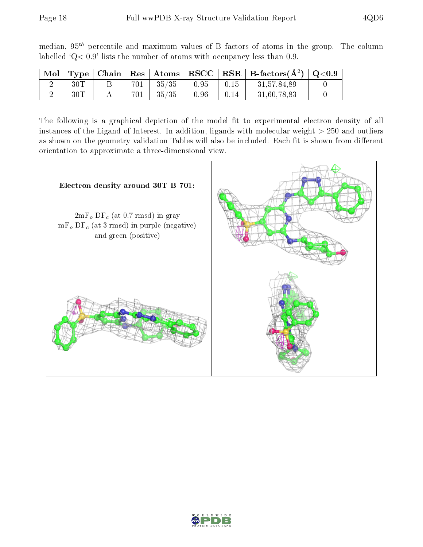| Mol |     |     |                             |      |      | $\perp$ Type   Chain   Res   Atoms   RSCC   RSR   B-factors( $\rm \AA^2)$   Q<0.9 |  |
|-----|-----|-----|-----------------------------|------|------|-----------------------------------------------------------------------------------|--|
|     | 30T | 701 | $^{\rm +}$ 35/35 $^{\rm -}$ | 0.95 | 0.15 | 31.57.84.89                                                                       |  |
|     | 30T | 701 | 35/35                       | 0.96 | 0.14 | 31,60,78,83                                                                       |  |

median,  $95<sup>th</sup>$  percentile and maximum values of B factors of atoms in the group. The column labelled ' $Q< 0.9$ ' lists the number of atoms with occupancy less than 0.9.

The following is a graphical depiction of the model fit to experimental electron density of all instances of the Ligand of Interest. In addition, ligands with molecular weight  $> 250$  and outliers as shown on the geometry validation Tables will also be included. Each fit is shown from different orientation to approximate a three-dimensional view.